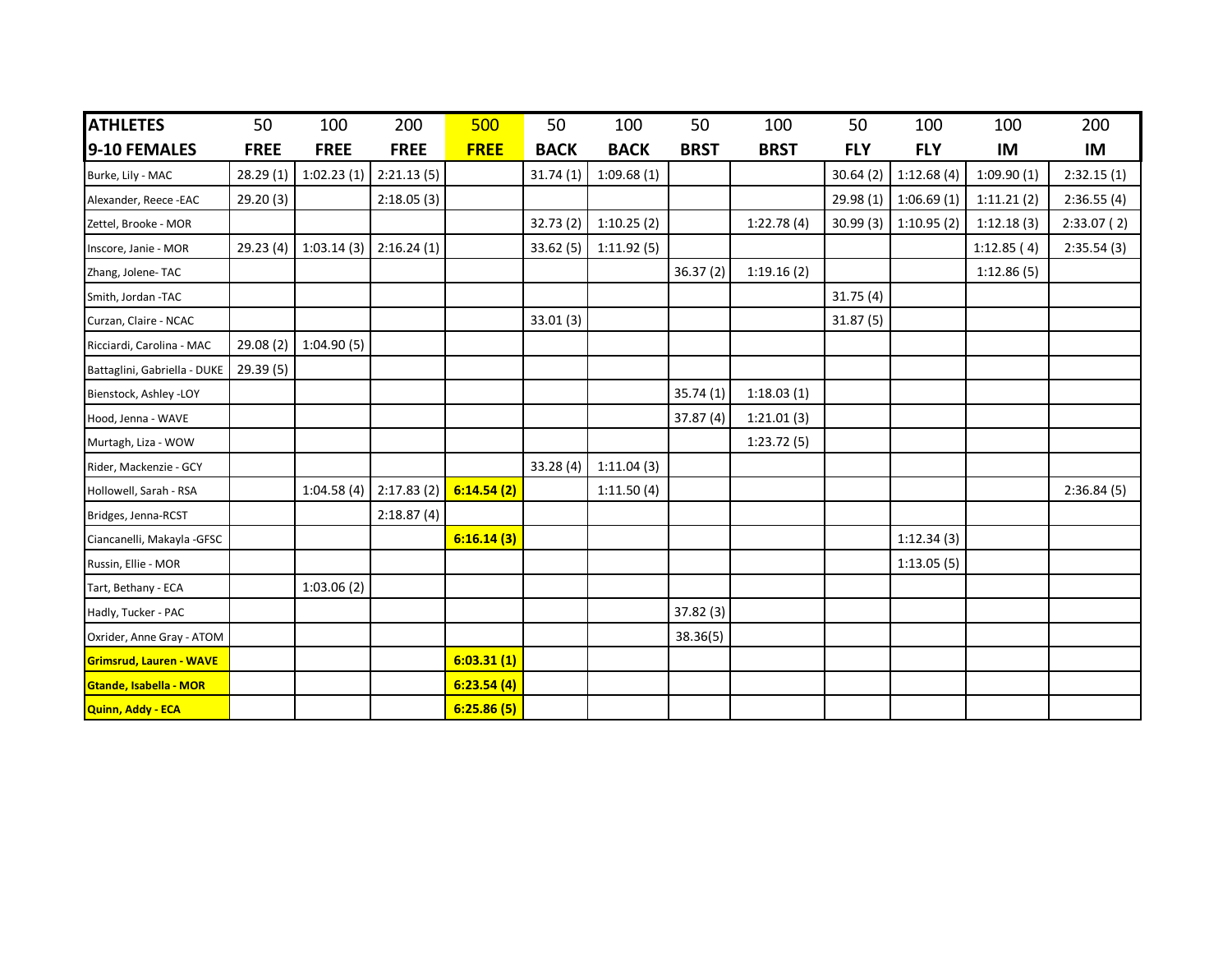| <b>ATHLETES</b>                | 50          | 100         | 200         | 500         | 50          | 100         | 50          | 100         | 50         | 100        | 100        | 200        |
|--------------------------------|-------------|-------------|-------------|-------------|-------------|-------------|-------------|-------------|------------|------------|------------|------------|
| 9-10 FEMALES                   | <b>FREE</b> | <b>FREE</b> | <b>FREE</b> | <b>FREE</b> | <b>BACK</b> | <b>BACK</b> | <b>BRST</b> | <b>BRST</b> | <b>FLY</b> | <b>FLY</b> | IM         | IM         |
| Burke, Lily - MAC              | 28.29(1)    | 1:02.23(1)  | 2:21.13(5)  |             | 31.74(1)    | 1:09.68(1)  |             |             | 30.64(2)   | 1:12.68(4) | 1:09.90(1) | 2:32.15(1) |
| Alexander, Reece -EAC          | 29.20(3)    |             | 2:18.05(3)  |             |             |             |             |             | 29.98(1)   | 1:06.69(1) | 1:11.21(2) | 2:36.55(4) |
| Zettel, Brooke - MOR           |             |             |             |             | 32.73(2)    | 1:10.25(2)  |             | 1:22.78(4)  | 30.99(3)   | 1:10.95(2) | 1:12.18(3) | 2:33.07(2) |
| Inscore, Janie - MOR           | 29.23(4)    | 1:03.14(3)  | 2:16.24(1)  |             | 33.62(5)    | 1:11.92(5)  |             |             |            |            | 1:12.85(4) | 2:35.54(3) |
| Zhang, Jolene-TAC              |             |             |             |             |             |             | 36.37(2)    | 1:19.16(2)  |            |            | 1:12.86(5) |            |
| Smith, Jordan -TAC             |             |             |             |             |             |             |             |             | 31.75(4)   |            |            |            |
| Curzan, Claire - NCAC          |             |             |             |             | 33.01(3)    |             |             |             | 31.87(5)   |            |            |            |
| Ricciardi, Carolina - MAC      | 29.08(2)    | 1:04.90(5)  |             |             |             |             |             |             |            |            |            |            |
| Battaglini, Gabriella - DUKE   | 29.39 (5)   |             |             |             |             |             |             |             |            |            |            |            |
| Bienstock, Ashley -LOY         |             |             |             |             |             |             | 35.74(1)    | 1:18.03(1)  |            |            |            |            |
| Hood, Jenna - WAVE             |             |             |             |             |             |             | 37.87(4)    | 1:21.01(3)  |            |            |            |            |
| Murtagh, Liza - WOW            |             |             |             |             |             |             |             | 1:23.72(5)  |            |            |            |            |
| Rider, Mackenzie - GCY         |             |             |             |             | 33.28(4)    | 1:11.04(3)  |             |             |            |            |            |            |
| Hollowell, Sarah - RSA         |             | 1:04.58(4)  | 2:17.83(2)  | 6:14.54(2)  |             | 1:11.50(4)  |             |             |            |            |            | 2:36.84(5) |
| Bridges, Jenna-RCST            |             |             | 2:18.87(4)  |             |             |             |             |             |            |            |            |            |
| Ciancanelli, Makayla -GFSC     |             |             |             | 6:16.14(3)  |             |             |             |             |            | 1:12.34(3) |            |            |
| Russin, Ellie - MOR            |             |             |             |             |             |             |             |             |            | 1:13.05(5) |            |            |
| Tart, Bethany - ECA            |             | 1:03.06(2)  |             |             |             |             |             |             |            |            |            |            |
| Hadly, Tucker - PAC            |             |             |             |             |             |             | 37.82(3)    |             |            |            |            |            |
| Oxrider, Anne Gray - ATOM      |             |             |             |             |             |             | 38.36(5)    |             |            |            |            |            |
| <b>Grimsrud, Lauren - WAVE</b> |             |             |             | 6:03.31(1)  |             |             |             |             |            |            |            |            |
| Gtande, Isabella - MOR         |             |             |             | 6:23.54(4)  |             |             |             |             |            |            |            |            |
| Quinn, Addy - ECA              |             |             |             | 6:25.86(5)  |             |             |             |             |            |            |            |            |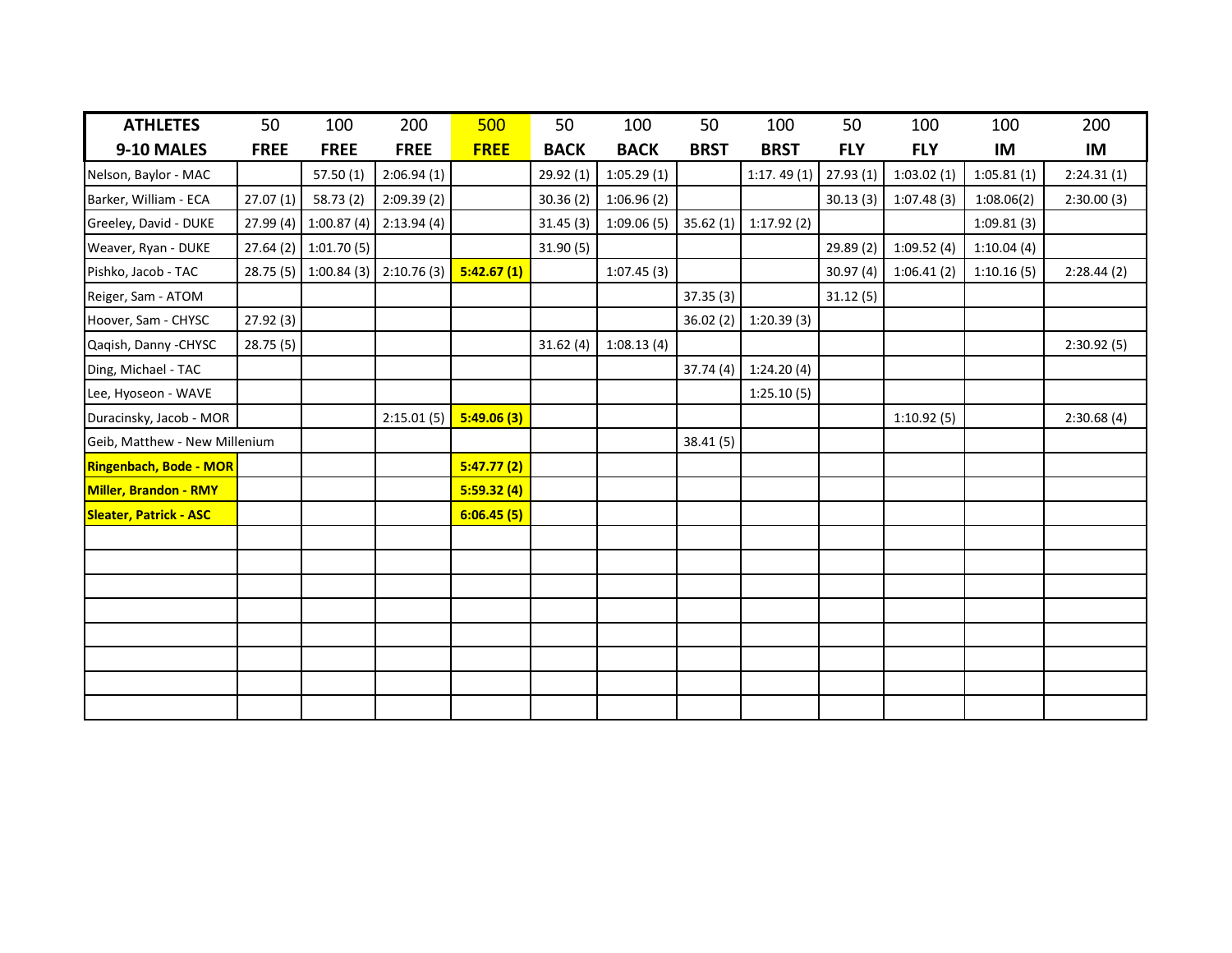| <b>ATHLETES</b>               | 50          | 100                   | 200         | 500         | 50          | 100         | 50          | 100         | 50         | 100        | 100        | 200        |
|-------------------------------|-------------|-----------------------|-------------|-------------|-------------|-------------|-------------|-------------|------------|------------|------------|------------|
| 9-10 MALES                    | <b>FREE</b> | <b>FREE</b>           | <b>FREE</b> | <b>FREE</b> | <b>BACK</b> | <b>BACK</b> | <b>BRST</b> | <b>BRST</b> | <b>FLY</b> | <b>FLY</b> | IM         | <b>IM</b>  |
| Nelson, Baylor - MAC          |             | 57.50(1)              | 2:06.94(1)  |             | 29.92(1)    | 1:05.29(1)  |             | 1:17.49(1)  | 27.93(1)   | 1:03.02(1) | 1:05.81(1) | 2:24.31(1) |
| Barker, William - ECA         | 27.07(1)    | 58.73(2)              | 2:09.39(2)  |             | 30.36(2)    | 1:06.96(2)  |             |             | 30.13(3)   | 1:07.48(3) | 1:08.06(2) | 2:30.00(3) |
| Greeley, David - DUKE         | 27.99(4)    | 1:00.87(4)            | 2:13.94(4)  |             | 31.45(3)    | 1:09.06(5)  | 35.62(1)    | 1:17.92(2)  |            |            | 1:09.81(3) |            |
| Weaver, Ryan - DUKE           |             | 27.64 (2) 1:01.70 (5) |             |             | 31.90(5)    |             |             |             | 29.89 (2)  | 1:09.52(4) | 1:10.04(4) |            |
| Pishko, Jacob - TAC           |             | 28.75 (5) 1:00.84 (3) | 2:10.76(3)  | 5:42.67(1)  |             | 1:07.45(3)  |             |             | 30.97(4)   | 1:06.41(2) | 1:10.16(5) | 2:28.44(2) |
| Reiger, Sam - ATOM            |             |                       |             |             |             |             | 37.35(3)    |             | 31.12(5)   |            |            |            |
| Hoover, Sam - CHYSC           | 27.92(3)    |                       |             |             |             |             | 36.02(2)    | 1:20.39(3)  |            |            |            |            |
| Qaqish, Danny - CHYSC         | 28.75(5)    |                       |             |             | 31.62(4)    | 1:08.13(4)  |             |             |            |            |            | 2:30.92(5) |
| Ding, Michael - TAC           |             |                       |             |             |             |             | 37.74(4)    | 1:24.20(4)  |            |            |            |            |
| Lee, Hyoseon - WAVE           |             |                       |             |             |             |             |             | 1:25.10(5)  |            |            |            |            |
| Duracinsky, Jacob - MOR       |             |                       | 2:15.01(5)  | 5:49.06(3)  |             |             |             |             |            | 1:10.92(5) |            | 2:30.68(4) |
| Geib, Matthew - New Millenium |             |                       |             |             |             |             | 38.41(5)    |             |            |            |            |            |
| <b>Ringenbach, Bode - MOR</b> |             |                       |             | 5:47.77(2)  |             |             |             |             |            |            |            |            |
| Miller, Brandon - RMY         |             |                       |             | 5:59.32(4)  |             |             |             |             |            |            |            |            |
| <b>Sleater, Patrick - ASC</b> |             |                       |             | 6:06.45(5)  |             |             |             |             |            |            |            |            |
|                               |             |                       |             |             |             |             |             |             |            |            |            |            |
|                               |             |                       |             |             |             |             |             |             |            |            |            |            |
|                               |             |                       |             |             |             |             |             |             |            |            |            |            |
|                               |             |                       |             |             |             |             |             |             |            |            |            |            |
|                               |             |                       |             |             |             |             |             |             |            |            |            |            |
|                               |             |                       |             |             |             |             |             |             |            |            |            |            |
|                               |             |                       |             |             |             |             |             |             |            |            |            |            |
|                               |             |                       |             |             |             |             |             |             |            |            |            |            |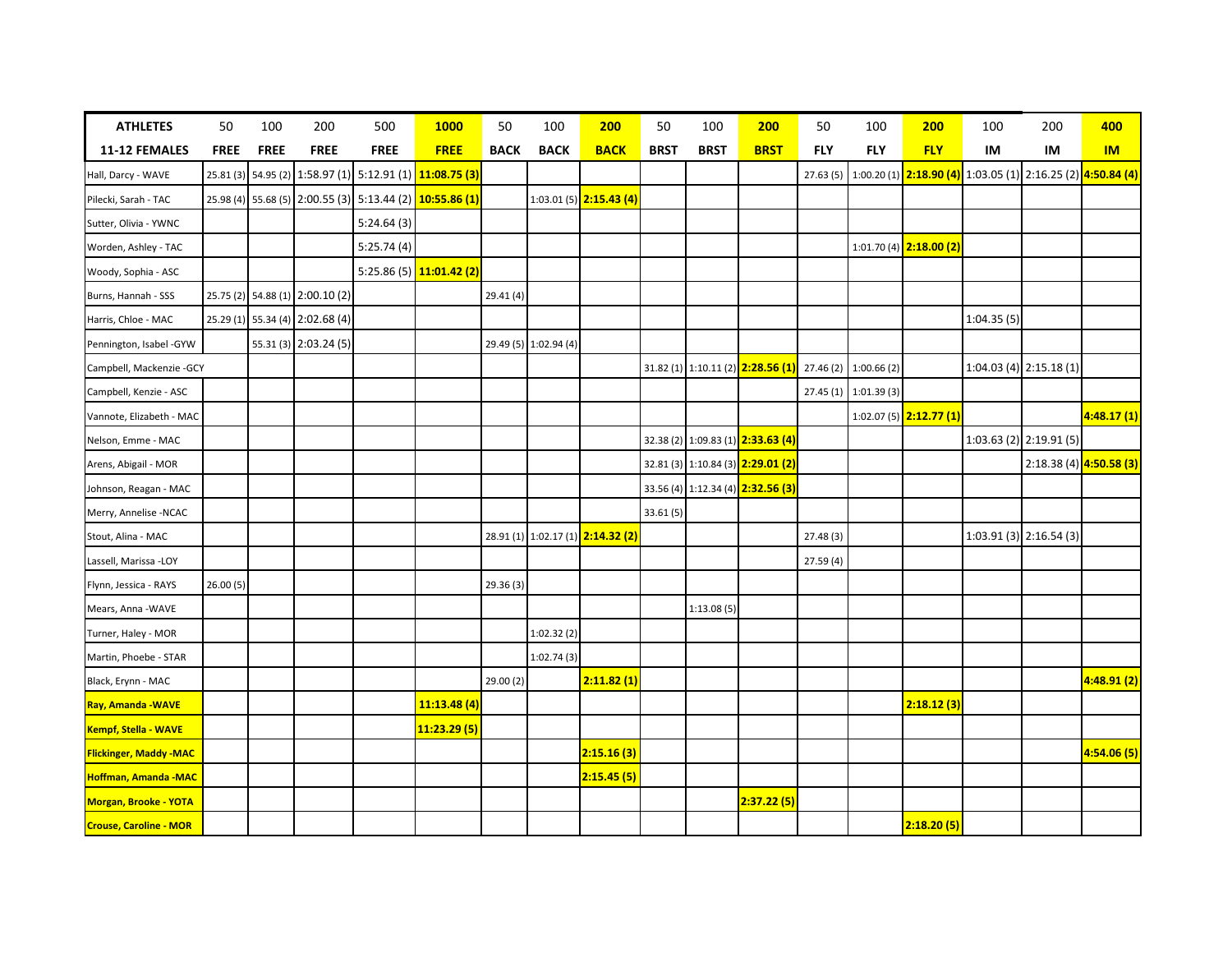| <b>ATHLETES</b>               | 50          | 100         | 200                             | 500         | <b>1000</b>                                              | 50          | 100                   | 200                               | 50          | 100         | 200                                                            | 50         | 100                   | 200                                                                       | 100        | 200                       | 400                     |
|-------------------------------|-------------|-------------|---------------------------------|-------------|----------------------------------------------------------|-------------|-----------------------|-----------------------------------|-------------|-------------|----------------------------------------------------------------|------------|-----------------------|---------------------------------------------------------------------------|------------|---------------------------|-------------------------|
| 11-12 FEMALES                 | <b>FREE</b> | <b>FREE</b> | <b>FREE</b>                     | <b>FREE</b> | <b>FREE</b>                                              | <b>BACK</b> | <b>BACK</b>           | <b>BACK</b>                       | <b>BRST</b> | <b>BRST</b> | <b>BRST</b>                                                    | <b>FLY</b> | <b>FLY</b>            | <b>FLY</b>                                                                | IM         | IM                        | <b>IM</b>               |
| Hall, Darcy - WAVE            |             |             |                                 |             | 25.81 (3) 54.95 (2) 1:58.97 (1) 5:12.91 (1) 11:08.75 (3) |             |                       |                                   |             |             |                                                                | 27.63(5)   |                       | 1:00.20 (1) <b>2:18.90 (4)</b> 1:03.05 (1) 2:16.25 (2) <b>4:50.84 (4)</b> |            |                           |                         |
| Pilecki, Sarah - TAC          |             |             |                                 |             | 25.98 (4) 55.68 (5) 2:00.55 (3) 5:13.44 (2) 10:55.86 (1) |             |                       | 1:03.01 (5) 2:15.43 (4)           |             |             |                                                                |            |                       |                                                                           |            |                           |                         |
| Sutter, Olivia - YWNC         |             |             |                                 | 5:24.64(3)  |                                                          |             |                       |                                   |             |             |                                                                |            |                       |                                                                           |            |                           |                         |
| Worden, Ashley - TAC          |             |             |                                 | 5:25.74(4)  |                                                          |             |                       |                                   |             |             |                                                                |            |                       | 1:01.70 (4) 2:18.00 (2)                                                   |            |                           |                         |
| Woody, Sophia - ASC           |             |             |                                 |             | 5:25.86 (5) 11:01.42 (2)                                 |             |                       |                                   |             |             |                                                                |            |                       |                                                                           |            |                           |                         |
| Burns, Hannah - SSS           |             |             | 25.75 (2) 54.88 (1) 2:00.10 (2) |             |                                                          | 29.41(4)    |                       |                                   |             |             |                                                                |            |                       |                                                                           |            |                           |                         |
| Harris, Chloe - MAC           |             |             | 25.29 (1) 55.34 (4) 2:02.68 (4) |             |                                                          |             |                       |                                   |             |             |                                                                |            |                       |                                                                           | 1:04.35(5) |                           |                         |
| Pennington, Isabel -GYW       |             |             | 55.31 (3) 2:03.24 (5)           |             |                                                          |             | 29.49 (5) 1:02.94 (4) |                                   |             |             |                                                                |            |                       |                                                                           |            |                           |                         |
| Campbell, Mackenzie - GCY     |             |             |                                 |             |                                                          |             |                       |                                   |             |             | 31.82 (1) 1:10.11 (2) <b>2:28.56 (1)</b> 27.46 (2) 1:00.66 (2) |            |                       |                                                                           |            | $1:04.03(4)$ 2:15.18(1)   |                         |
| Campbell, Kenzie - ASC        |             |             |                                 |             |                                                          |             |                       |                                   |             |             |                                                                |            | 27.45 (1) 1:01.39 (3) |                                                                           |            |                           |                         |
| Vannote, Elizabeth - MAC      |             |             |                                 |             |                                                          |             |                       |                                   |             |             |                                                                |            |                       | 1:02.07 (5) 2:12.77 (1)                                                   |            |                           | 4:48.17 (1)             |
| Nelson, Emme - MAC            |             |             |                                 |             |                                                          |             |                       |                                   |             |             | 32.38 (2) 1:09.83 (1) 2:33.63 (4)                              |            |                       |                                                                           |            | $1:03.63(2)$ 2:19.91(5)   |                         |
| Arens, Abigail - MOR          |             |             |                                 |             |                                                          |             |                       |                                   |             |             | 32.81 (3) 1:10.84 (3) 2:29.01 (2)                              |            |                       |                                                                           |            |                           | 2:18.38 (4) 4:50.58 (3) |
| Johnson, Reagan - MAC         |             |             |                                 |             |                                                          |             |                       |                                   |             |             | 33.56 (4) 1:12.34 (4) 2:32.56 (3)                              |            |                       |                                                                           |            |                           |                         |
| Merry, Annelise -NCAC         |             |             |                                 |             |                                                          |             |                       |                                   | 33.61 (5)   |             |                                                                |            |                       |                                                                           |            |                           |                         |
| Stout, Alina - MAC            |             |             |                                 |             |                                                          |             |                       | 28.91 (1) 1:02.17 (1) 2:14.32 (2) |             |             |                                                                | 27.48 (3)  |                       |                                                                           |            | $1:03.91(3)$ $2:16.54(3)$ |                         |
| Lassell, Marissa -LOY         |             |             |                                 |             |                                                          |             |                       |                                   |             |             |                                                                | 27.59 (4)  |                       |                                                                           |            |                           |                         |
| Flynn, Jessica - RAYS         | 26.00(5)    |             |                                 |             |                                                          | 29.36(3)    |                       |                                   |             |             |                                                                |            |                       |                                                                           |            |                           |                         |
| Mears, Anna - WAVE            |             |             |                                 |             |                                                          |             |                       |                                   |             | 1:13.08(5)  |                                                                |            |                       |                                                                           |            |                           |                         |
| Turner, Haley - MOR           |             |             |                                 |             |                                                          |             | 1:02.32(2)            |                                   |             |             |                                                                |            |                       |                                                                           |            |                           |                         |
| Martin, Phoebe - STAR         |             |             |                                 |             |                                                          |             | 1:02.74(3)            |                                   |             |             |                                                                |            |                       |                                                                           |            |                           |                         |
| Black, Erynn - MAC            |             |             |                                 |             |                                                          | 29.00(2)    |                       | 2:11.82(1)                        |             |             |                                                                |            |                       |                                                                           |            |                           | 4:48.91(2)              |
| Ray, Amanda - WAVE            |             |             |                                 |             | 11:13.48(4)                                              |             |                       |                                   |             |             |                                                                |            |                       | 2:18.12(3)                                                                |            |                           |                         |
| Kempf, Stella - WAVE          |             |             |                                 |             | 11:23.29 (5)                                             |             |                       |                                   |             |             |                                                                |            |                       |                                                                           |            |                           |                         |
| <b>Flickinger, Maddy -MAC</b> |             |             |                                 |             |                                                          |             |                       | 2:15.16(3)                        |             |             |                                                                |            |                       |                                                                           |            |                           | 4:54.06 (5)             |
| Hoffman, Amanda - MAC         |             |             |                                 |             |                                                          |             |                       | 2:15.45(5)                        |             |             |                                                                |            |                       |                                                                           |            |                           |                         |
| Morgan, Brooke - YOTA         |             |             |                                 |             |                                                          |             |                       |                                   |             |             | 2:37.22(5)                                                     |            |                       |                                                                           |            |                           |                         |
| <b>Crouse, Caroline - MOR</b> |             |             |                                 |             |                                                          |             |                       |                                   |             |             |                                                                |            |                       | 2:18.20(5)                                                                |            |                           |                         |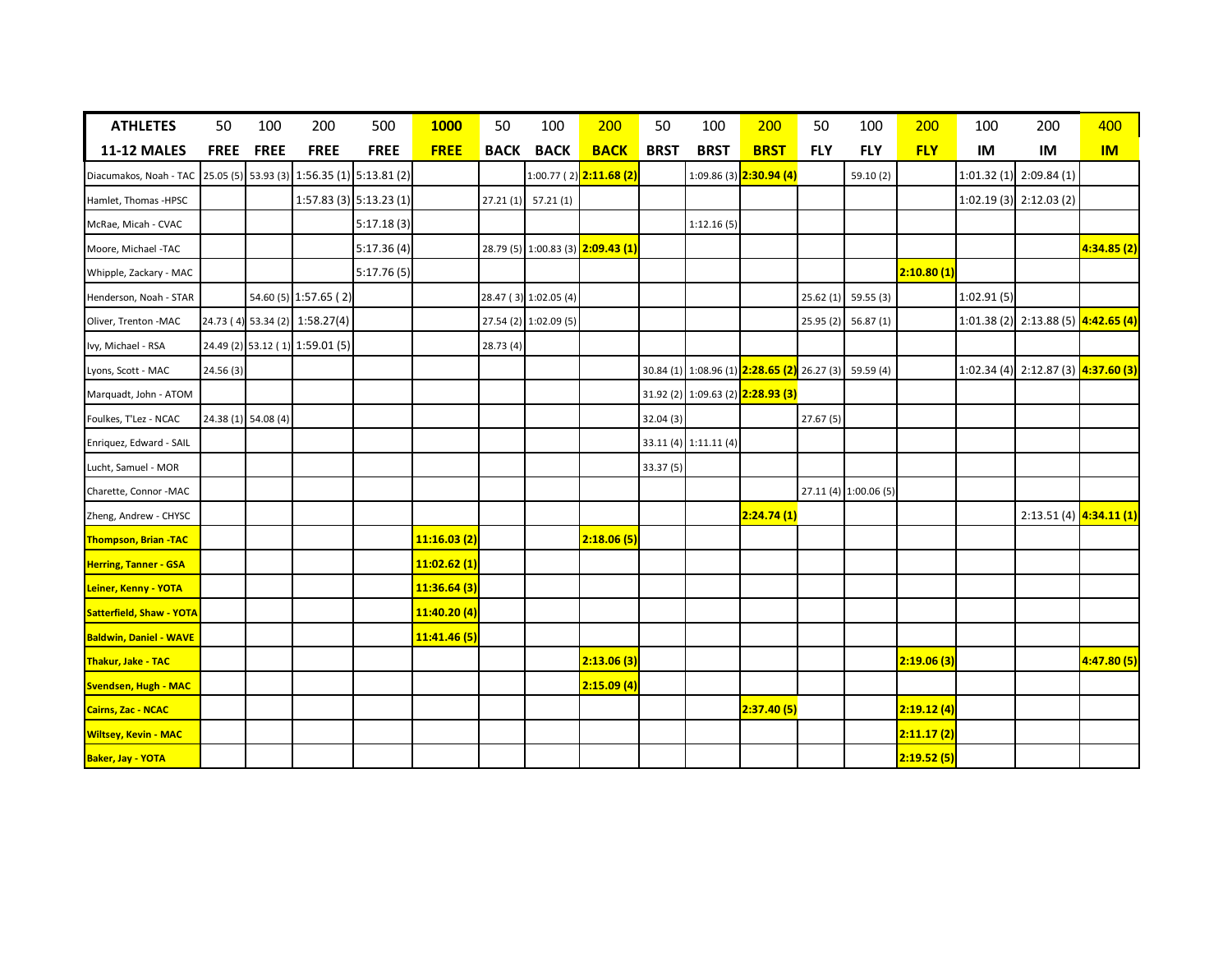| <b>ATHLETES</b>               | 50          | 100                 | 200                                         | 500                     | 1000        | 50          | 100                   | 200                                 | 50          | 100                   | 200                                                   | 50         | 100                   | 200        | 100        | 200                                   | 400        |
|-------------------------------|-------------|---------------------|---------------------------------------------|-------------------------|-------------|-------------|-----------------------|-------------------------------------|-------------|-----------------------|-------------------------------------------------------|------------|-----------------------|------------|------------|---------------------------------------|------------|
| <b>11-12 MALES</b>            | <b>FREE</b> | <b>FREE</b>         | <b>FREE</b>                                 | <b>FREE</b>             | <b>FREE</b> | <b>BACK</b> | <b>BACK</b>           | <b>BACK</b>                         | <b>BRST</b> | <b>BRST</b>           | <b>BRST</b>                                           | <b>FLY</b> | <b>FLY</b>            | <b>FLY</b> | IM         | IM                                    | IM         |
| Diacumakos, Noah - TAC        |             |                     | 25.05 (5) 53.93 (3) 1:56.35 (1) 5:13.81 (2) |                         |             |             |                       | 1:00.77(2) <mark>2:11.68 (2)</mark> |             |                       | 1:09.86 (3) <b>2:30.94 (4)</b>                        |            | 59.10 (2)             |            |            | $1:01.32(1)$ 2:09.84(1)               |            |
| Hamlet, Thomas -HPSC          |             |                     |                                             | 1:57.83 (3) 5:13.23 (1) |             |             | 27.21(1) 57.21(1)     |                                     |             |                       |                                                       |            |                       |            |            | $1:02.19(3)$ $2:12.03(2)$             |            |
| McRae, Micah - CVAC           |             |                     |                                             | 5:17.18(3)              |             |             |                       |                                     |             | 1:12.16(5)            |                                                       |            |                       |            |            |                                       |            |
| Moore, Michael -TAC           |             |                     |                                             | 5:17.36(4)              |             |             |                       | 28.79 (5) 1:00.83 (3) 2:09.43 (1)   |             |                       |                                                       |            |                       |            |            |                                       | 4:34.85(2) |
| Whipple, Zackary - MAC        |             |                     |                                             | 5:17.76(5)              |             |             |                       |                                     |             |                       |                                                       |            |                       | 2:10.80(1) |            |                                       |            |
| Henderson, Noah - STAR        |             |                     | 54.60 (5) 1:57.65 (2)                       |                         |             |             | 28.47 (3) 1:02.05 (4) |                                     |             |                       |                                                       |            | 25.62 (1) 59.55 (3)   |            | 1:02.91(5) |                                       |            |
| Oliver, Trenton -MAC          |             |                     | 24.73 (4) 53.34 (2) 1:58.27(4)              |                         |             |             | 27.54 (2) 1:02.09 (5) |                                     |             |                       |                                                       |            | 25.95 (2) 56.87 (1)   |            |            | 1:01.38 (2) 2:13.88 (5) $4:42.65$ (4) |            |
| Ivy, Michael - RSA            |             |                     | 24.49 (2) 53.12 (1) 1:59.01 (5)             |                         |             | 28.73(4)    |                       |                                     |             |                       |                                                       |            |                       |            |            |                                       |            |
| Lyons, Scott - MAC            | 24.56 (3)   |                     |                                             |                         |             |             |                       |                                     |             |                       | 30.84 (1) 1:08.96 (1) 2:28.65 (2) 26.27 (3) 59.59 (4) |            |                       |            |            | 1:02.34 (4) 2:12.87 (3) 4:37.60 (3)   |            |
| Marquadt, John - ATOM         |             |                     |                                             |                         |             |             |                       |                                     |             |                       | 31.92 (2) 1:09.63 (2) 2:28.93 (3)                     |            |                       |            |            |                                       |            |
| Foulkes, T'Lez - NCAC         |             | 24.38 (1) 54.08 (4) |                                             |                         |             |             |                       |                                     | 32.04(3)    |                       |                                                       | 27.67(5)   |                       |            |            |                                       |            |
| Enriquez, Edward - SAIL       |             |                     |                                             |                         |             |             |                       |                                     |             | 33.11 (4) 1:11.11 (4) |                                                       |            |                       |            |            |                                       |            |
| Lucht, Samuel - MOR           |             |                     |                                             |                         |             |             |                       |                                     | 33.37(5)    |                       |                                                       |            |                       |            |            |                                       |            |
| Charette, Connor -MAC         |             |                     |                                             |                         |             |             |                       |                                     |             |                       |                                                       |            | 27.11 (4) 1:00.06 (5) |            |            |                                       |            |
| Zheng, Andrew - CHYSC         |             |                     |                                             |                         |             |             |                       |                                     |             |                       | 2:24.74(1)                                            |            |                       |            |            | 2:13.51 (4) 4:34.11 (1)               |            |
| <b>Thompson, Brian -TAC</b>   |             |                     |                                             |                         | 11:16.03(2) |             |                       | 2:18.06(5)                          |             |                       |                                                       |            |                       |            |            |                                       |            |
| <b>Herring, Tanner - GSA</b>  |             |                     |                                             |                         | 11:02.62(1) |             |                       |                                     |             |                       |                                                       |            |                       |            |            |                                       |            |
| Leiner, Kenny - YOTA          |             |                     |                                             |                         | 11:36.64(3) |             |                       |                                     |             |                       |                                                       |            |                       |            |            |                                       |            |
| Satterfield, Shaw - YOTA      |             |                     |                                             |                         | 11:40.20(4) |             |                       |                                     |             |                       |                                                       |            |                       |            |            |                                       |            |
| <b>Baldwin, Daniel - WAVE</b> |             |                     |                                             |                         | 11:41.46(5) |             |                       |                                     |             |                       |                                                       |            |                       |            |            |                                       |            |
| <b>Thakur, Jake - TAC</b>     |             |                     |                                             |                         |             |             |                       | 2:13.06(3)                          |             |                       |                                                       |            |                       | 2:19.06(3) |            |                                       | 4:47.80(5) |
| Svendsen, Hugh - MAC          |             |                     |                                             |                         |             |             |                       | 2:15.09(4)                          |             |                       |                                                       |            |                       |            |            |                                       |            |
| Cairns, Zac - NCAC            |             |                     |                                             |                         |             |             |                       |                                     |             |                       | 2:37.40(5)                                            |            |                       | 2:19.12(4) |            |                                       |            |
| <b>Wiltsey, Kevin - MAC</b>   |             |                     |                                             |                         |             |             |                       |                                     |             |                       |                                                       |            |                       | 2:11.17(2) |            |                                       |            |
| <b>Baker, Jay - YOTA</b>      |             |                     |                                             |                         |             |             |                       |                                     |             |                       |                                                       |            |                       | 2:19.52(5) |            |                                       |            |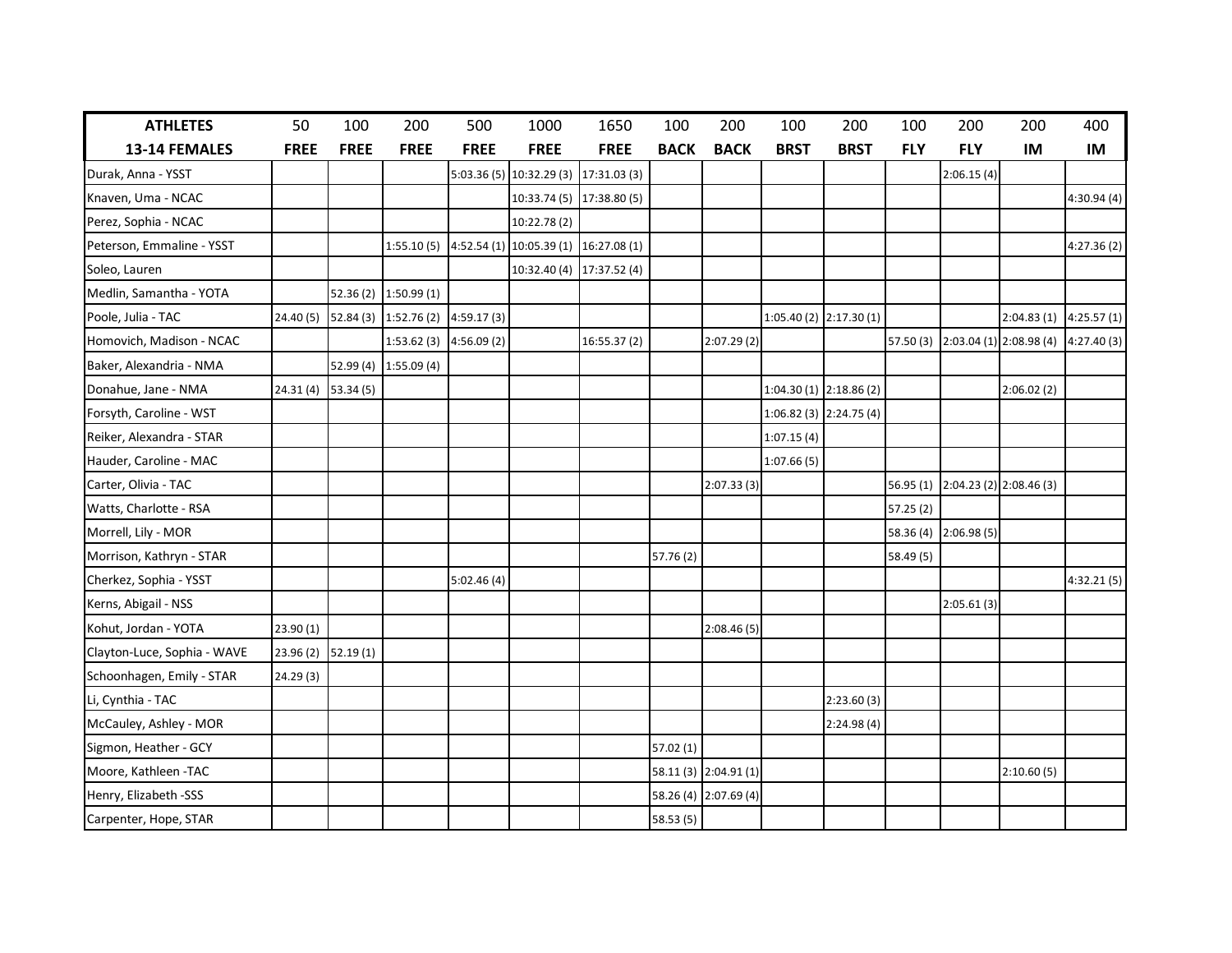| <b>ATHLETES</b>             | 50          | 100         | 200                   | 500         | 1000                     | 1650                      | 100         | 200                   | 100         | 200                     | 100        | 200                   | 200                                           | 400        |
|-----------------------------|-------------|-------------|-----------------------|-------------|--------------------------|---------------------------|-------------|-----------------------|-------------|-------------------------|------------|-----------------------|-----------------------------------------------|------------|
| 13-14 FEMALES               | <b>FREE</b> | <b>FREE</b> | <b>FREE</b>           | <b>FREE</b> | <b>FREE</b>              | <b>FREE</b>               | <b>BACK</b> | <b>BACK</b>           | <b>BRST</b> | <b>BRST</b>             | <b>FLY</b> | <b>FLY</b>            | IM                                            | IM         |
| Durak, Anna - YSST          |             |             |                       | 5:03.36(5)  | 10:32.29 (3)             | 17:31.03 (3)              |             |                       |             |                         |            | 2:06.15(4)            |                                               |            |
| Knaven, Uma - NCAC          |             |             |                       |             |                          | 10:33.74 (5) 17:38.80 (5) |             |                       |             |                         |            |                       |                                               | 4:30.94(4) |
| Perez, Sophia - NCAC        |             |             |                       |             | 10:22.78 (2)             |                           |             |                       |             |                         |            |                       |                                               |            |
| Peterson, Emmaline - YSST   |             |             | 1:55.10(5)            |             | $4:52.54(1)$ 10:05.39(1) | 16:27.08 (1)              |             |                       |             |                         |            |                       |                                               | 4:27.36(2) |
| Soleo, Lauren               |             |             |                       |             |                          | 10:32.40 (4) 17:37.52 (4) |             |                       |             |                         |            |                       |                                               |            |
| Medlin, Samantha - YOTA     |             |             | 52.36 (2) 1:50.99 (1) |             |                          |                           |             |                       |             |                         |            |                       |                                               |            |
| Poole, Julia - TAC          | 24.40(5)    |             | 52.84 (3) 1:52.76 (2) | 4:59.17(3)  |                          |                           |             |                       |             | 1:05.40 (2) 2:17.30 (1) |            |                       | $2:04.83(1)$ 4:25.57(1)                       |            |
| Homovich, Madison - NCAC    |             |             | 1:53.62(3)            | 4:56.09(2)  |                          | 16:55.37(2)               |             | 2:07.29(2)            |             |                         |            |                       | 57.50 (3) 2:03.04 (1) 2:08.98 (4) 4:27.40 (3) |            |
| Baker, Alexandria - NMA     |             |             | 52.99 (4) 1:55.09 (4) |             |                          |                           |             |                       |             |                         |            |                       |                                               |            |
| Donahue, Jane - NMA         | 24.31(4)    | 53.34 (5)   |                       |             |                          |                           |             |                       |             | 1:04.30 (1) 2:18.86 (2) |            |                       | 2:06.02(2)                                    |            |
| Forsyth, Caroline - WST     |             |             |                       |             |                          |                           |             |                       |             | 1:06.82 (3) 2:24.75 (4) |            |                       |                                               |            |
| Reiker, Alexandra - STAR    |             |             |                       |             |                          |                           |             |                       | 1:07.15(4)  |                         |            |                       |                                               |            |
| Hauder, Caroline - MAC      |             |             |                       |             |                          |                           |             |                       | 1:07.66(5)  |                         |            |                       |                                               |            |
| Carter, Olivia - TAC        |             |             |                       |             |                          |                           |             | 2:07.33(3)            |             |                         |            |                       | 56.95 (1) 2:04.23 (2) 2:08.46 (3)             |            |
| Watts, Charlotte - RSA      |             |             |                       |             |                          |                           |             |                       |             |                         | 57.25(2)   |                       |                                               |            |
| Morrell, Lily - MOR         |             |             |                       |             |                          |                           |             |                       |             |                         |            | 58.36 (4) 2:06.98 (5) |                                               |            |
| Morrison, Kathryn - STAR    |             |             |                       |             |                          |                           | 57.76 (2)   |                       |             |                         | 58.49 (5)  |                       |                                               |            |
| Cherkez, Sophia - YSST      |             |             |                       | 5:02.46(4)  |                          |                           |             |                       |             |                         |            |                       |                                               | 4:32.21(5) |
| Kerns, Abigail - NSS        |             |             |                       |             |                          |                           |             |                       |             |                         |            | 2:05.61(3)            |                                               |            |
| Kohut, Jordan - YOTA        | 23.90(1)    |             |                       |             |                          |                           |             | 2:08.46(5)            |             |                         |            |                       |                                               |            |
| Clayton-Luce, Sophia - WAVE | 23.96 (2)   | 52.19(1)    |                       |             |                          |                           |             |                       |             |                         |            |                       |                                               |            |
| Schoonhagen, Emily - STAR   | 24.29(3)    |             |                       |             |                          |                           |             |                       |             |                         |            |                       |                                               |            |
| Li, Cynthia - TAC           |             |             |                       |             |                          |                           |             |                       |             | 2:23.60(3)              |            |                       |                                               |            |
| McCauley, Ashley - MOR      |             |             |                       |             |                          |                           |             |                       |             | 2:24.98(4)              |            |                       |                                               |            |
| Sigmon, Heather - GCY       |             |             |                       |             |                          |                           | 57.02 (1)   |                       |             |                         |            |                       |                                               |            |
| Moore, Kathleen - TAC       |             |             |                       |             |                          |                           |             | 58.11 (3) 2:04.91 (1) |             |                         |            |                       | 2:10.60(5)                                    |            |
| Henry, Elizabeth -SSS       |             |             |                       |             |                          |                           |             | 58.26 (4) 2:07.69 (4) |             |                         |            |                       |                                               |            |
| Carpenter, Hope, STAR       |             |             |                       |             |                          |                           | 58.53 (5)   |                       |             |                         |            |                       |                                               |            |